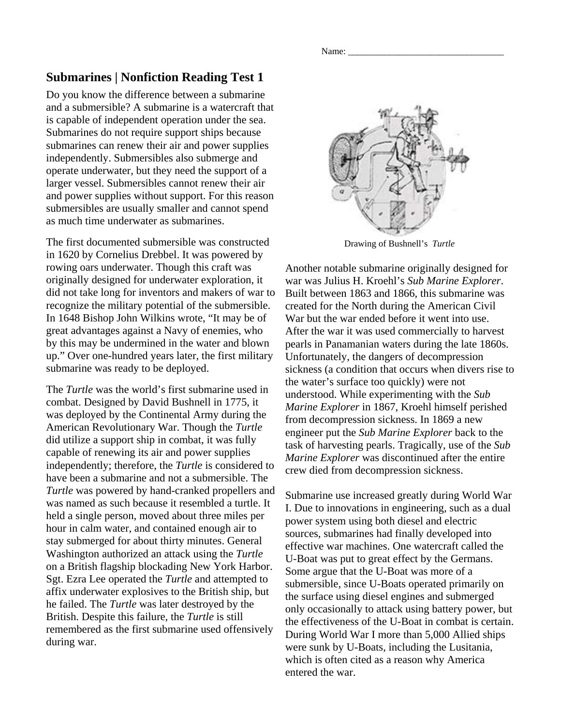Name: \_\_\_\_\_\_\_\_\_\_\_\_\_\_\_\_\_\_\_\_\_\_\_\_\_\_\_\_\_\_\_\_\_\_

## **Submarines | Nonfiction Reading Test 1**

Do you know the difference between a submarine and a submersible? A submarine is a watercraft that is capable of independent operation under the sea. Submarines do not require support ships because submarines can renew their air and power supplies independently. Submersibles also submerge and operate underwater, but they need the support of a larger vessel. Submersibles cannot renew their air and power supplies without support. For this reason submersibles are usually smaller and cannot spend as much time underwater as submarines.

The first documented submersible was constructed in 1620 by Cornelius Drebbel. It was powered by rowing oars underwater. Though this craft was originally designed for underwater exploration, it did not take long for inventors and makers of war to recognize the military potential of the submersible. In 1648 Bishop John Wilkins wrote, "It may be of great advantages against a Navy of enemies, who by this may be undermined in the water and blown up." Over one-hundred years later, the first military submarine was ready to be deployed.

The *Turtle* was the world's first submarine used in combat. Designed by David Bushnell in 1775, it was deployed by the Continental Army during the American Revolutionary War. Though the *Turtle* did utilize a support ship in combat, it was fully capable of renewing its air and power supplies independently; therefore, the *Turtle* is considered to have been a submarine and not a submersible. The *Turtle* was powered by hand-cranked propellers and was named as such because it resembled a turtle. It held a single person, moved about three miles per hour in calm water, and contained enough air to stay submerged for about thirty minutes. General Washington authorized an attack using the *Turtle* on a British flagship blockading New York Harbor. Sgt. Ezra Lee operated the *Turtle* and attempted to affix underwater explosives to the British ship, but he failed. The *Turtle* was later destroyed by the British. Despite this failure, the *Turtle* is still remembered as the first submarine used offensively during war.



Drawing of Bushnell's *Turtle*

Another notable submarine originally designed for war was Julius H. Kroehl's *Sub Marine Explorer*. Built between 1863 and 1866, this submarine was created for the North during the American Civil War but the war ended before it went into use. After the war it was used commercially to harvest pearls in Panamanian waters during the late 1860s. Unfortunately, the dangers of decompression sickness (a condition that occurs when divers rise to the water's surface too quickly) were not understood. While experimenting with the *Sub Marine Explorer* in 1867, Kroehl himself perished from decompression sickness. In 1869 a new engineer put the *Sub Marine Explorer* back to the task of harvesting pearls. Tragically, use of the *Sub Marine Explorer* was discontinued after the entire crew died from decompression sickness.

Submarine use increased greatly during World War I. Due to innovations in engineering, such as a dual power system using both diesel and electric sources, submarines had finally developed into effective war machines. One watercraft called the U-Boat was put to great effect by the Germans. Some argue that the U-Boat was more of a submersible, since U-Boats operated primarily on the surface using diesel engines and submerged only occasionally to attack using battery power, but the effectiveness of the U-Boat in combat is certain. During World War I more than 5,000 Allied ships were sunk by U-Boats, including the Lusitania, which is often cited as a reason why America entered the war.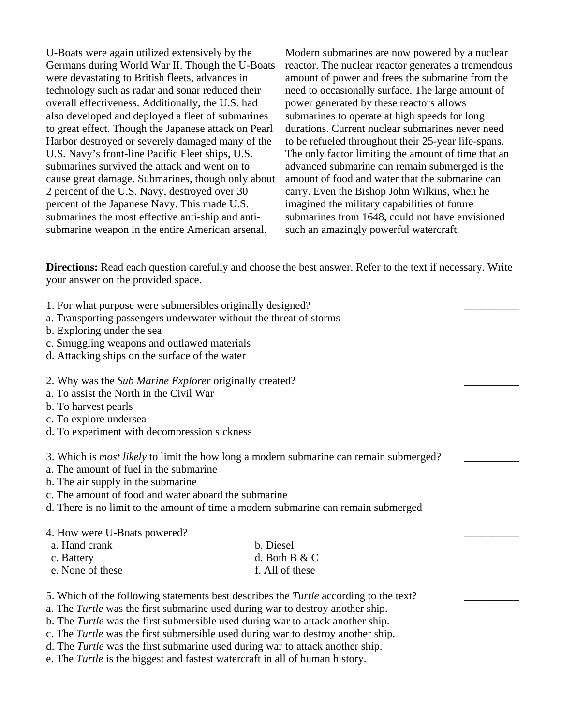U-Boats were again utilized extensively by the Germans during World War II. Though the U-Boats were devastating to British fleets, advances in technology such as radar and sonar reduced their overall effectiveness. Additionally, the U.S. had also developed and deployed a fleet of submarines to great effect. Though the Japanese attack on Pearl Harbor destroyed or severely damaged many of the U.S. Navy's front-line Pacific Fleet ships, U.S. submarines survived the attack and went on to cause great damage. Submarines, though only about 2 percent of the U.S. Navy, destroyed over 30 percent of the Japanese Navy. This made U.S. submarines the most effective anti-ship and antisubmarine weapon in the entire American arsenal.

Modern submarines are now powered by a nuclear reactor. The nuclear reactor generates a tremendous amount of power and frees the submarine from the need to occasionally surface. The large amount of power generated by these reactors allows submarines to operate at high speeds for long durations. Current nuclear submarines never need to be refueled throughout their 25-year life-spans. The only factor limiting the amount of time that an advanced submarine can remain submerged is the amount of food and water that the submarine can carry. Even the Bishop John Wilkins, when he imagined the military capabilities of future submarines from 1648, could not have envisioned such an amazingly powerful watercraft.

\_\_\_\_\_\_\_\_\_\_

\_\_\_\_\_\_\_\_\_\_

\_\_\_\_\_\_\_\_\_\_

\_\_\_\_\_\_\_\_\_\_

\_\_\_\_\_\_\_\_\_\_

**Directions:** Read each question carefully and choose the best answer. Refer to the text if necessary. Write your answer on the provided space.

- 1. For what purpose were submersibles originally designed?
- a. Transporting passengers underwater without the threat of storms
- b. Exploring under the sea
- c. Smuggling weapons and outlawed materials
- d. Attacking ships on the surface of the water
- 2. Why was the *Sub Marine Explorer* originally created?
- a. To assist the North in the Civil War
- b. To harvest pearls
- c. To explore undersea
- d. To experiment with decompression sickness

3. Which is *most likely* to limit the how long a modern submarine can remain submerged?

- a. The amount of fuel in the submarine
- b. The air supply in the submarine
- c. The amount of food and water aboard the submarine
- d. There is no limit to the amount of time a modern submarine can remain submerged

## 4. How were U-Boats powered?

| a. Hand crank    | b. Diesel       |
|------------------|-----------------|
| c. Battery       | d. Both B $&$ C |
| e. None of these | f. All of these |

- 5. Which of the following statements best describes the *Turtle* according to the text?
- a. The *Turtle* was the first submarine used during war to destroy another ship.
- b. The *Turtle* was the first submersible used during war to attack another ship.
- c. The *Turtle* was the first submersible used during war to destroy another ship.
- d. The *Turtle* was the first submarine used during war to attack another ship.
- e. The *Turtle* is the biggest and fastest watercraft in all of human history.